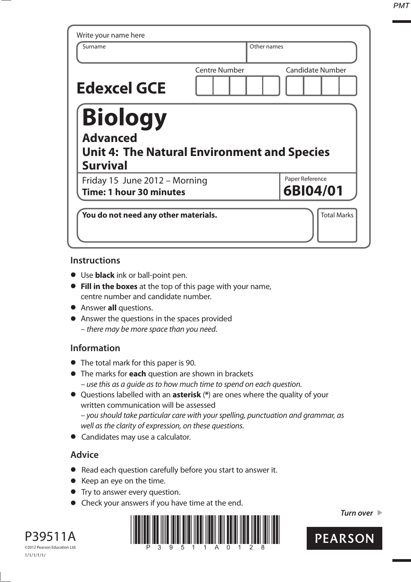| Write your name here                                                                                       |                      |                             |
|------------------------------------------------------------------------------------------------------------|----------------------|-----------------------------|
| Surname                                                                                                    | Other names          |                             |
| <b>Edexcel GCE</b>                                                                                         | <b>Centre Number</b> | <b>Candidate Number</b>     |
| <b>Biology</b><br><b>Advanced</b><br><b>Unit 4: The Natural Environment and Species</b><br><b>Survival</b> |                      |                             |
| Friday 15 June 2012 – Morning<br>Time: 1 hour 30 minutes                                                   |                      | Paper Reference<br>6BI04/01 |
| You do not need any other materials.                                                                       |                      | <b>Total Marks</b>          |

### **Instructions**

- **•** Use **black** ink or ball-point pen.
- **Fill in the boxes** at the top of this page with your name, centre number and candidate number.
- **•** Answer **all** questions.
- **•** Answer the questions in the spaces provided – there may be more space than you need.

# **Information**

- **•** The total mark for this paper is 90.
- **t** The marks for **each** question are shown in brackets – use this as a guide as to how much time to spend on each question.
- **t** Questions labelled with an **asterisk** (**\***) are ones where the quality of your written communication will be assessed – you should take particular care with your spelling, punctuation and grammar, as well as the clarity of expression, on these questions.
- **•** Candidates may use a calculator.

# **Advice**

- **t** Read each question carefully before you start to answer it.
- **•** Keep an eye on the time.
- **•** Try to answer every question.
- **•** Check your answers if you have time at the end.



*Turn over* 



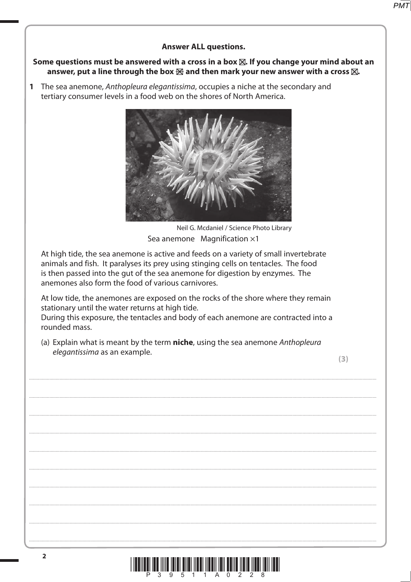# **Answer ALL questions.**

### Some questions must be answered with a cross in a box  $\boxtimes$ . If you change your mind about an answer, put a line through the box  $\boxtimes$  and then mark your new answer with a cross  $\boxtimes$ .

1 The sea anemone, Anthopleura elegantissima, occupies a niche at the secondary and tertiary consumer levels in a food web on the shores of North America.



Neil G. Mcdaniel / Science Photo Library Sea anemone Magnification  $\times 1$ 

At high tide, the sea anemone is active and feeds on a variety of small invertebrate animals and fish. It paralyses its prey using stinging cells on tentacles. The food is then passed into the gut of the sea anemone for digestion by enzymes. The anemones also form the food of various carnivores.

At low tide, the anemones are exposed on the rocks of the shore where they remain stationary until the water returns at high tide.

During this exposure, the tentacles and body of each anemone are contracted into a rounded mass.

(a) Explain what is meant by the term niche, using the sea anemone Anthopleura elegantissima as an example.

 $(3)$ 

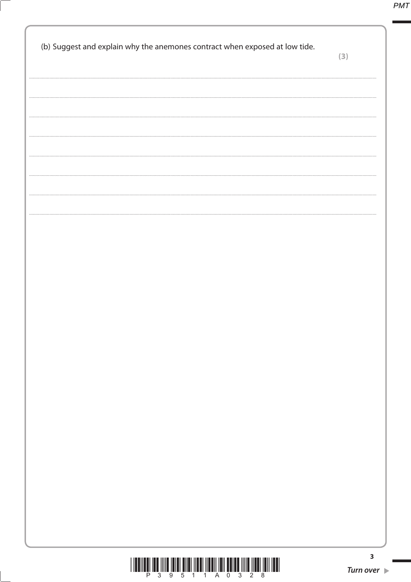| (b) Suggest and explain why the anemones contract when exposed at low tide.                                                                                                                                                                                                                                                                                                                                                                                   | (3)                             |
|---------------------------------------------------------------------------------------------------------------------------------------------------------------------------------------------------------------------------------------------------------------------------------------------------------------------------------------------------------------------------------------------------------------------------------------------------------------|---------------------------------|
|                                                                                                                                                                                                                                                                                                                                                                                                                                                               |                                 |
|                                                                                                                                                                                                                                                                                                                                                                                                                                                               |                                 |
|                                                                                                                                                                                                                                                                                                                                                                                                                                                               |                                 |
|                                                                                                                                                                                                                                                                                                                                                                                                                                                               |                                 |
|                                                                                                                                                                                                                                                                                                                                                                                                                                                               |                                 |
|                                                                                                                                                                                                                                                                                                                                                                                                                                                               |                                 |
|                                                                                                                                                                                                                                                                                                                                                                                                                                                               |                                 |
|                                                                                                                                                                                                                                                                                                                                                                                                                                                               |                                 |
|                                                                                                                                                                                                                                                                                                                                                                                                                                                               |                                 |
|                                                                                                                                                                                                                                                                                                                                                                                                                                                               |                                 |
|                                                                                                                                                                                                                                                                                                                                                                                                                                                               |                                 |
|                                                                                                                                                                                                                                                                                                                                                                                                                                                               |                                 |
|                                                                                                                                                                                                                                                                                                                                                                                                                                                               |                                 |
|                                                                                                                                                                                                                                                                                                                                                                                                                                                               | $\overline{\mathbf{3}}$         |
| $\begin{array}{c} \text{if} \ \text{if} \ \text{if} \ \text{if} \ \text{if} \ \text{if} \ \text{if} \ \text{if} \ \text{if} \ \text{if} \ \text{if} \ \text{if} \ \text{if} \ \text{if} \ \text{if} \ \text{if} \ \text{if} \ \text{if} \ \text{if} \ \text{if} \ \text{if} \ \text{if} \ \text{if} \ \text{if} \ \text{if} \ \text{if} \ \text{if} \ \text{if} \ \text{if} \ \text{if} \ \text{if} \ \text{if} \ \text{if} \ \text{if} \ \text{if} \ \text{$ | Turn over $\blacktriangleright$ |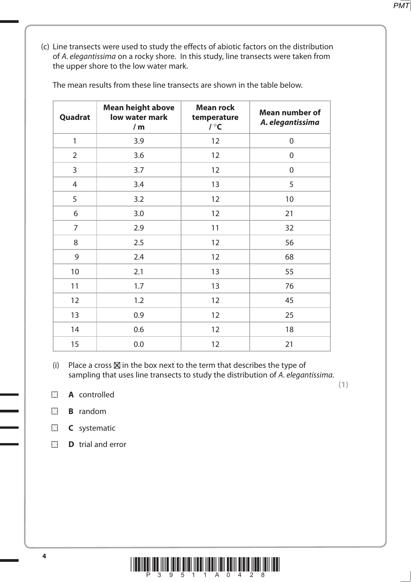(c) Line transects were used to study the effects of abiotic factors on the distribution of A. elegantissima on a rocky shore. In this study, line transects were taken from the upper shore to the low water mark.

| Quadrat        | <b>Mean height above</b><br>low water mark<br>/m | <b>Mean rock</b><br>temperature<br>$\overline{C}$ | <b>Mean number of</b><br>A. elegantissima |
|----------------|--------------------------------------------------|---------------------------------------------------|-------------------------------------------|
| $\mathbf{1}$   | 3.9                                              | 12                                                | $\boldsymbol{0}$                          |
| $\overline{2}$ | 3.6                                              | 12                                                | $\boldsymbol{0}$                          |
| 3              | 3.7                                              | 12                                                | $\mathbf 0$                               |
| 4              | 3.4                                              | 13                                                | 5                                         |
| 5              | 3.2                                              | 12                                                | 10                                        |
| 6              | 3.0                                              | 12                                                | 21                                        |
| 7              | 2.9                                              | 11                                                | 32                                        |
| 8              | 2.5                                              | 12                                                | 56                                        |
| 9              | 2.4                                              | 12                                                | 68                                        |
| 10             | 2.1                                              | 13                                                | 55                                        |
| 11             | 1.7                                              | 13                                                | 76                                        |
| 12             | 1.2                                              | 12                                                | 45                                        |
| 13             | 0.9                                              | 12                                                | 25                                        |
| 14             | 0.6                                              | 12                                                | 18                                        |
| 15             | 0.0                                              | 12                                                | 21                                        |

The mean results from these line transects are shown in the table below.

(i) Place a cross  $\boxtimes$  in the box next to the term that describes the type of sampling that uses line transects to study the distribution of A. elegantissima.

**(1)**

- **A** controlled
- **B** random
- **C** systematic
- **D** trial and error

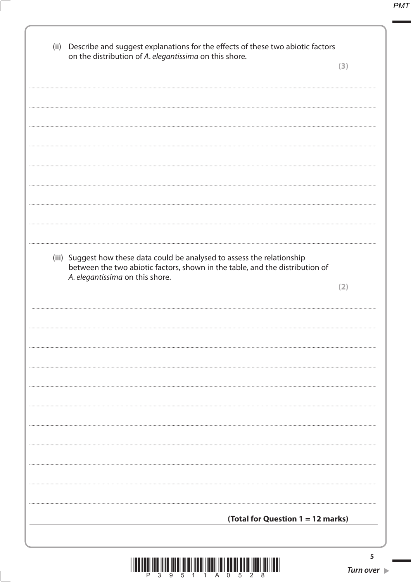|  | (ii) Describe and suggest explanations for the effects of these two abiotic factors<br>on the distribution of A. elegantissima on this shore.                                                | (3) |
|--|----------------------------------------------------------------------------------------------------------------------------------------------------------------------------------------------|-----|
|  |                                                                                                                                                                                              |     |
|  |                                                                                                                                                                                              |     |
|  |                                                                                                                                                                                              |     |
|  |                                                                                                                                                                                              |     |
|  |                                                                                                                                                                                              |     |
|  |                                                                                                                                                                                              |     |
|  | (iii) Suggest how these data could be analysed to assess the relationship<br>between the two abiotic factors, shown in the table, and the distribution of<br>A. elegantissima on this shore. |     |
|  |                                                                                                                                                                                              | (2) |
|  |                                                                                                                                                                                              |     |
|  |                                                                                                                                                                                              |     |
|  |                                                                                                                                                                                              |     |
|  |                                                                                                                                                                                              |     |
|  |                                                                                                                                                                                              |     |
|  |                                                                                                                                                                                              |     |
|  |                                                                                                                                                                                              |     |
|  | (Total for Question 1 = 12 marks)                                                                                                                                                            |     |



 $\overline{\mathbf{5}}$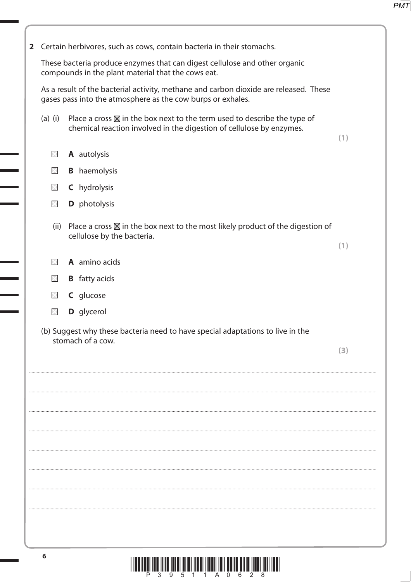|             | 2 Certain herbivores, such as cows, contain bacteria in their stomachs.                                                                                    |     |
|-------------|------------------------------------------------------------------------------------------------------------------------------------------------------------|-----|
|             | These bacteria produce enzymes that can digest cellulose and other organic<br>compounds in the plant material that the cows eat.                           |     |
|             | As a result of the bacterial activity, methane and carbon dioxide are released. These<br>gases pass into the atmosphere as the cow burps or exhales.       |     |
| $(a)$ (i)   | Place a cross $\boxtimes$ in the box next to the term used to describe the type of<br>chemical reaction involved in the digestion of cellulose by enzymes. | (1) |
| $\boxtimes$ | A autolysis                                                                                                                                                |     |
| $\times$    | <b>B</b> haemolysis                                                                                                                                        |     |
| $\boxtimes$ | C hydrolysis                                                                                                                                               |     |
| $\times$    | D photolysis                                                                                                                                               |     |
| (ii)        | Place a cross $\boxtimes$ in the box next to the most likely product of the digestion of<br>cellulose by the bacteria.                                     | (1) |
| X           | A amino acids                                                                                                                                              |     |
|             |                                                                                                                                                            |     |
| $\boxtimes$ | <b>B</b> fatty acids                                                                                                                                       |     |
| $\times$    | C glucose                                                                                                                                                  |     |
| $\times$    | D glycerol                                                                                                                                                 |     |
|             | (b) Suggest why these bacteria need to have special adaptations to live in the                                                                             |     |
|             | stomach of a cow.                                                                                                                                          |     |
|             |                                                                                                                                                            |     |
|             |                                                                                                                                                            |     |
|             |                                                                                                                                                            |     |
|             |                                                                                                                                                            |     |
|             |                                                                                                                                                            |     |
|             |                                                                                                                                                            |     |
|             |                                                                                                                                                            |     |
|             |                                                                                                                                                            |     |
|             |                                                                                                                                                            |     |
|             |                                                                                                                                                            |     |
|             |                                                                                                                                                            |     |
|             |                                                                                                                                                            |     |
|             |                                                                                                                                                            |     |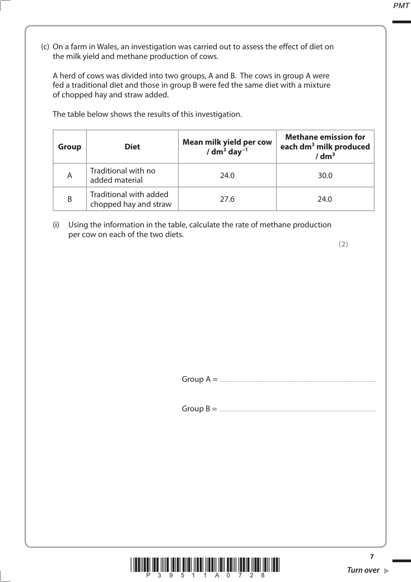(c) On a farm in Wales, an investigation was carried out to assess the effect of diet on the milk yield and methane production of cows.

 A herd of cows was divided into two groups, A and B. The cows in group A were fed a traditional diet and those in group B were fed the same diet with a mixture of chopped hay and straw added.

**Group Diet Mean milk yield per cow / dm3 day–1 Methane emission for each dm3 milk produced / dm3**  $A$  Traditional with no added material and the control of the control of the control of the control of the control of the control of t<br>and the control of the control of the control of the control of the control of the control of the control of th  $\mathsf{B}$  Traditional with added chopped hay and straw 27.6 24.0

The table below shows the results of this investigation.

 (i) Using the information in the table, calculate the rate of methane production per cow on each of the two diets.

**(2)**

Group A = ...........................................................................................................................

Group B = ...........................................................................................................................

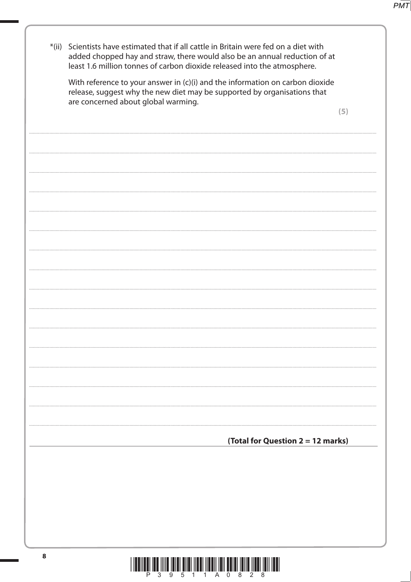|   | *(ii) Scientists have estimated that if all cattle in Britain were fed on a diet with<br>added chopped hay and straw, there would also be an annual reduction of at<br>least 1.6 million tonnes of carbon dioxide released into the atmosphere. |     |
|---|-------------------------------------------------------------------------------------------------------------------------------------------------------------------------------------------------------------------------------------------------|-----|
|   | With reference to your answer in (c)(i) and the information on carbon dioxide<br>release, suggest why the new diet may be supported by organisations that<br>are concerned about global warming.                                                |     |
|   |                                                                                                                                                                                                                                                 | (5) |
|   |                                                                                                                                                                                                                                                 |     |
|   |                                                                                                                                                                                                                                                 |     |
|   |                                                                                                                                                                                                                                                 |     |
|   |                                                                                                                                                                                                                                                 |     |
|   |                                                                                                                                                                                                                                                 |     |
|   |                                                                                                                                                                                                                                                 |     |
|   |                                                                                                                                                                                                                                                 |     |
|   |                                                                                                                                                                                                                                                 |     |
|   |                                                                                                                                                                                                                                                 |     |
|   |                                                                                                                                                                                                                                                 |     |
|   |                                                                                                                                                                                                                                                 |     |
|   |                                                                                                                                                                                                                                                 |     |
|   |                                                                                                                                                                                                                                                 |     |
|   |                                                                                                                                                                                                                                                 |     |
|   | (Total for Question 2 = 12 marks)                                                                                                                                                                                                               |     |
|   |                                                                                                                                                                                                                                                 |     |
|   |                                                                                                                                                                                                                                                 |     |
|   |                                                                                                                                                                                                                                                 |     |
|   |                                                                                                                                                                                                                                                 |     |
| 8 |                                                                                                                                                                                                                                                 |     |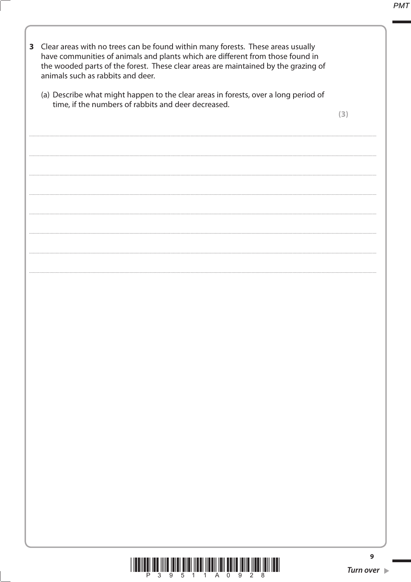| $\mathbf{3}$ | Clear areas with no trees can be found within many forests. These areas usually<br>have communities of animals and plants which are different from those found in<br>the wooded parts of the forest. These clear areas are maintained by the grazing of<br>animals such as rabbits and deer. |                                      |
|--------------|----------------------------------------------------------------------------------------------------------------------------------------------------------------------------------------------------------------------------------------------------------------------------------------------|--------------------------------------|
|              | (a) Describe what might happen to the clear areas in forests, over a long period of<br>time, if the numbers of rabbits and deer decreased.                                                                                                                                                   |                                      |
|              |                                                                                                                                                                                                                                                                                              | (3)                                  |
|              |                                                                                                                                                                                                                                                                                              |                                      |
|              |                                                                                                                                                                                                                                                                                              |                                      |
|              |                                                                                                                                                                                                                                                                                              |                                      |
|              |                                                                                                                                                                                                                                                                                              |                                      |
|              |                                                                                                                                                                                                                                                                                              |                                      |
|              |                                                                                                                                                                                                                                                                                              |                                      |
|              |                                                                                                                                                                                                                                                                                              |                                      |
|              |                                                                                                                                                                                                                                                                                              |                                      |
|              |                                                                                                                                                                                                                                                                                              |                                      |
|              |                                                                                                                                                                                                                                                                                              |                                      |
|              |                                                                                                                                                                                                                                                                                              |                                      |
|              |                                                                                                                                                                                                                                                                                              |                                      |
|              |                                                                                                                                                                                                                                                                                              |                                      |
|              |                                                                                                                                                                                                                                                                                              |                                      |
|              |                                                                                                                                                                                                                                                                                              |                                      |
|              |                                                                                                                                                                                                                                                                                              |                                      |
|              |                                                                                                                                                                                                                                                                                              |                                      |
|              |                                                                                                                                                                                                                                                                                              |                                      |
|              |                                                                                                                                                                                                                                                                                              |                                      |
|              |                                                                                                                                                                                                                                                                                              |                                      |
|              | P.<br>3<br>95<br>1 1 A 0 9<br>2 8                                                                                                                                                                                                                                                            | 9<br>Turn over $\blacktriangleright$ |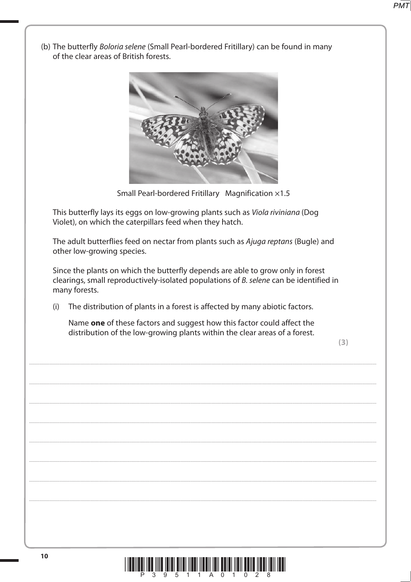(b) The butterfly Boloria selene (Small Pearl-bordered Fritillary) can be found in many of the clear areas of British forests.



Small Pearl-bordered Fritillary Magnification ×1.5

This butterfly lays its eggs on low-growing plants such as Viola riviniana (Dog Violet), on which the caterpillars feed when they hatch.

The adult butterflies feed on nectar from plants such as Ajuga reptans (Bugle) and other low-growing species.

Since the plants on which the butterfly depends are able to grow only in forest clearings, small reproductively-isolated populations of *B. selene* can be identified in many forests.

(i) The distribution of plants in a forest is affected by many abiotic factors.

Name one of these factors and suggest how this factor could affect the distribution of the low-growing plants within the clear areas of a forest.

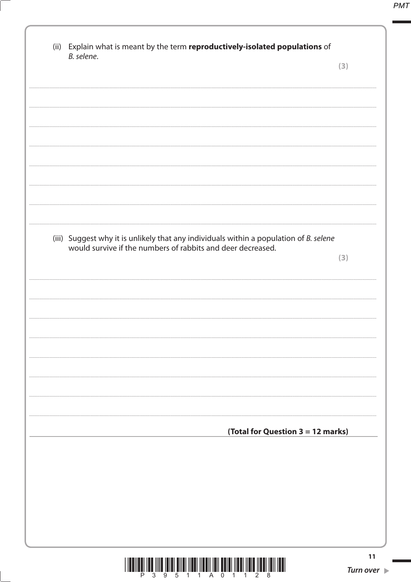(ii) Explain what is meant by the term reproductively-isolated populations of B. selene.  $(3)$ (iii) Suggest why it is unlikely that any individuals within a population of B. selene would survive if the numbers of rabbits and deer decreased.  $(3)$ (Total for Question 3 = 12 marks)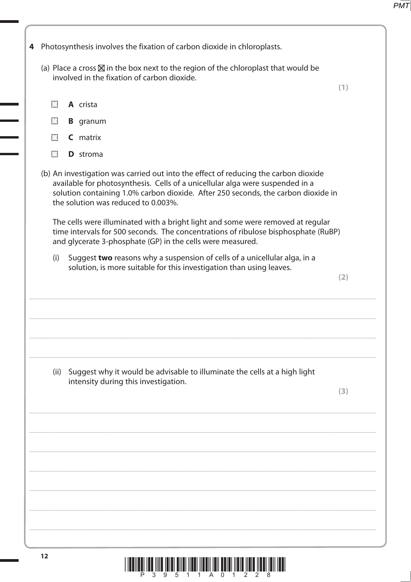| 4 |             | Photosynthesis involves the fixation of carbon dioxide in chloroplasts.                                                                                                                                                                                                                          |     |
|---|-------------|--------------------------------------------------------------------------------------------------------------------------------------------------------------------------------------------------------------------------------------------------------------------------------------------------|-----|
|   |             | (a) Place a cross $\boxtimes$ in the box next to the region of the chloroplast that would be<br>involved in the fixation of carbon dioxide.                                                                                                                                                      | (1) |
|   | $\times$    | A crista                                                                                                                                                                                                                                                                                         |     |
|   | $\boxtimes$ | <b>B</b> granum                                                                                                                                                                                                                                                                                  |     |
|   | $\bowtie$   | C matrix                                                                                                                                                                                                                                                                                         |     |
|   | $\times$    | <b>D</b> stroma                                                                                                                                                                                                                                                                                  |     |
|   |             | (b) An investigation was carried out into the effect of reducing the carbon dioxide<br>available for photosynthesis. Cells of a unicellular alga were suspended in a<br>solution containing 1.0% carbon dioxide. After 250 seconds, the carbon dioxide in<br>the solution was reduced to 0.003%. |     |
|   |             | The cells were illuminated with a bright light and some were removed at regular<br>time intervals for 500 seconds. The concentrations of ribulose bisphosphate (RuBP)<br>and glycerate 3-phosphate (GP) in the cells were measured.                                                              |     |
|   | (i)         | Suggest two reasons why a suspension of cells of a unicellular alga, in a<br>solution, is more suitable for this investigation than using leaves.                                                                                                                                                |     |
|   |             |                                                                                                                                                                                                                                                                                                  | (2) |
|   | (ii)        | Suggest why it would be advisable to illuminate the cells at a high light<br>intensity during this investigation.                                                                                                                                                                                | (3) |
|   |             |                                                                                                                                                                                                                                                                                                  |     |
|   |             |                                                                                                                                                                                                                                                                                                  |     |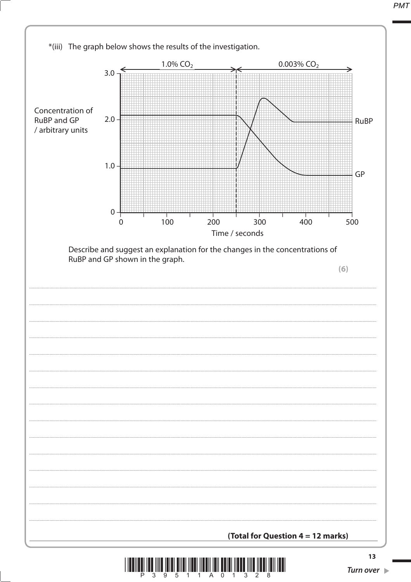

Turn over  $\blacktriangleright$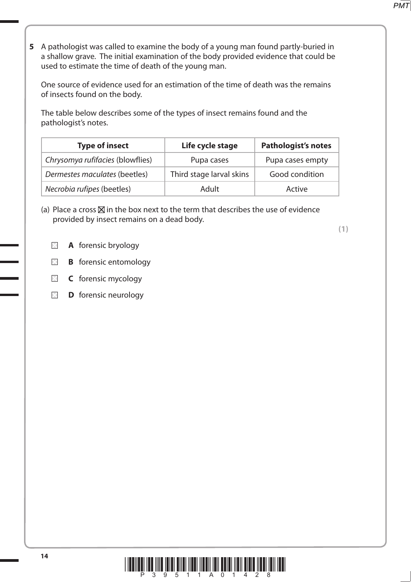**(1)**

**5** A pathologist was called to examine the body of a young man found partly-buried in a shallow grave. The initial examination of the body provided evidence that could be used to estimate the time of death of the young man.

 One source of evidence used for an estimation of the time of death was the remains of insects found on the body.

 The table below describes some of the types of insect remains found and the pathologist's notes.

| <b>Type of insect</b>            | Life cycle stage         | <b>Pathologist's notes</b> |
|----------------------------------|--------------------------|----------------------------|
| Chrysomya rufifacies (blowflies) | Pupa cases               | Pupa cases empty           |
| Dermestes maculates (beetles)    | Third stage larval skins | Good condition             |
| Necrobia rufipes (beetles)       | Adult                    | Active                     |

- (a) Place a cross  $\boxtimes$  in the box next to the term that describes the use of evidence provided by insect remains on a dead body.
	- **A** forensic bryology
	- **B** forensic entomology
	- **C** forensic mycology
	- **D** forensic neurology

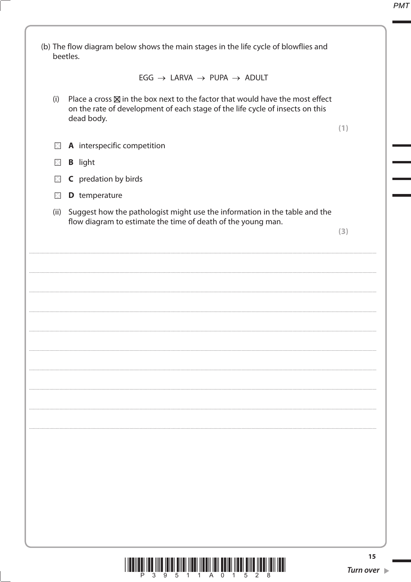|             | (b) The flow diagram below shows the main stages in the life cycle of blowflies and<br>beetles.                                                                                     |     |
|-------------|-------------------------------------------------------------------------------------------------------------------------------------------------------------------------------------|-----|
|             | $EGG \rightarrow LARVA \rightarrow PUPA \rightarrow ADULT$                                                                                                                          |     |
| (i)         | Place a cross $\times$ in the box next to the factor that would have the most effect<br>on the rate of development of each stage of the life cycle of insects on this<br>dead body. | (1) |
| $\times$    | A interspecific competition                                                                                                                                                         |     |
| $\times$    | <b>B</b> light                                                                                                                                                                      |     |
| $\boxtimes$ | C predation by birds                                                                                                                                                                |     |
| X           | <b>D</b> temperature                                                                                                                                                                |     |
| (ii)        | Suggest how the pathologist might use the information in the table and the<br>flow diagram to estimate the time of death of the young man.                                          | (3) |
|             |                                                                                                                                                                                     |     |
|             |                                                                                                                                                                                     |     |
|             |                                                                                                                                                                                     |     |
|             |                                                                                                                                                                                     |     |
|             |                                                                                                                                                                                     |     |
|             |                                                                                                                                                                                     |     |
|             |                                                                                                                                                                                     |     |
|             |                                                                                                                                                                                     |     |
|             |                                                                                                                                                                                     |     |
|             |                                                                                                                                                                                     |     |
|             |                                                                                                                                                                                     |     |
|             |                                                                                                                                                                                     |     |
|             |                                                                                                                                                                                     |     |
|             |                                                                                                                                                                                     |     |
|             |                                                                                                                                                                                     |     |
|             |                                                                                                                                                                                     |     |
|             |                                                                                                                                                                                     |     |
|             |                                                                                                                                                                                     |     |

Turn over  $\blacktriangleright$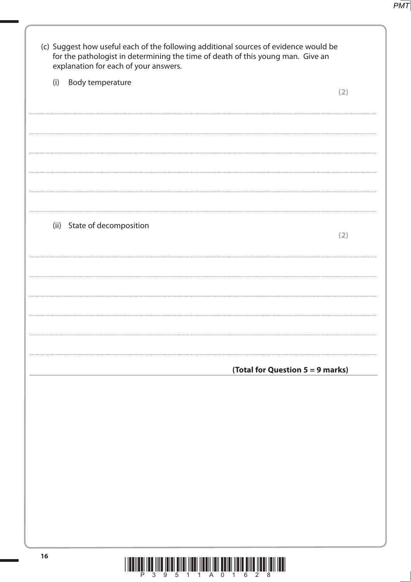(c) Suggest how useful each of the following additional sources of evidence would be for the pathologist in determining the time of death of this young man. Give an explanation for each of your answers. Body temperature  $(i)$  $(2)$ (ii) State of decomposition  $(2)$ (Total for Question 5 = 9 marks) 16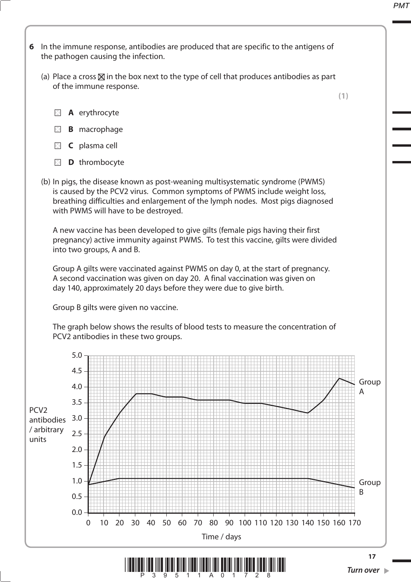- **6** In the immune response, antibodies are produced that are specific to the antigens of the pathogen causing the infection. (a) Place a cross  $\boxtimes$  in the box next to the type of cell that produces antibodies as part of the immune response. **(1) A** erythrocyte **B** macrophage **C** plasma cell
	- **D** thrombocyte
	- (b) In pigs, the disease known as post-weaning multisystematic syndrome (PWMS) is caused by the PCV2 virus. Common symptoms of PWMS include weight loss, breathing difficulties and enlargement of the lymph nodes. Most pigs diagnosed with PWMS will have to be destroyed.

 A new vaccine has been developed to give gilts (female pigs having their first pregnancy) active immunity against PWMS. To test this vaccine, gilts were divided into two groups, A and B.

 Group A gilts were vaccinated against PWMS on day 0, at the start of pregnancy. A second vaccination was given on day 20. A final vaccination was given on day 140, approximately 20 days before they were due to give birth.

Group B gilts were given no vaccine.

 The graph below shows the results of blood tests to measure the concentration of PCV2 antibodies in these two groups.

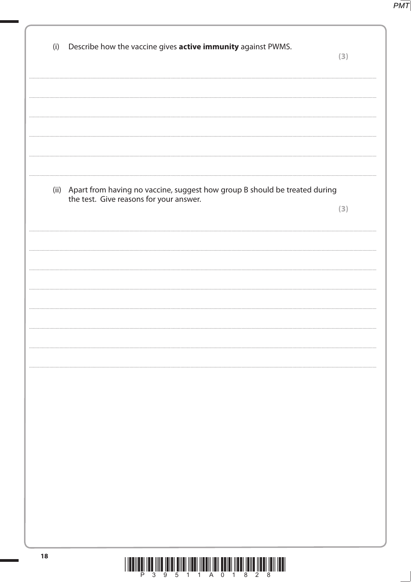|    | (i) Describe how the vaccine gives <b>active immunity</b> against PWMS.                                                    | (3) |
|----|----------------------------------------------------------------------------------------------------------------------------|-----|
|    |                                                                                                                            |     |
|    |                                                                                                                            |     |
|    | (ii) Apart from having no vaccine, suggest how group B should be treated during<br>the test. Give reasons for your answer. | (3) |
|    |                                                                                                                            |     |
|    |                                                                                                                            |     |
|    |                                                                                                                            |     |
|    |                                                                                                                            |     |
|    |                                                                                                                            |     |
|    |                                                                                                                            |     |
|    |                                                                                                                            |     |
|    |                                                                                                                            |     |
| 18 |                                                                                                                            |     |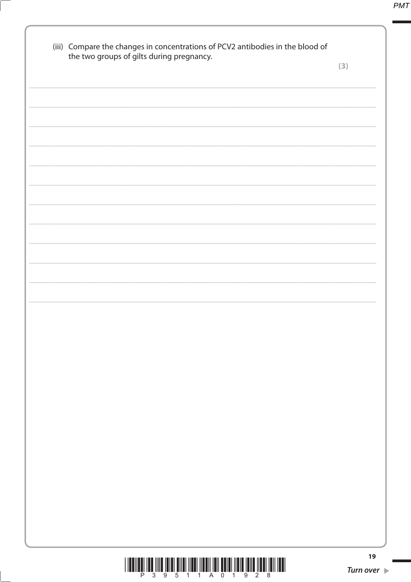| the two groups of gilts during pregnancy. | (3) |
|-------------------------------------------|-----|
|                                           |     |
|                                           |     |
|                                           |     |
|                                           |     |
|                                           |     |
|                                           |     |
|                                           |     |
|                                           |     |
|                                           |     |
|                                           |     |
|                                           |     |
|                                           |     |
|                                           |     |
|                                           |     |
|                                           |     |
|                                           |     |
|                                           |     |
|                                           |     |
|                                           |     |
|                                           |     |
|                                           |     |
|                                           |     |
|                                           |     |
|                                           |     |
|                                           |     |
|                                           |     |
|                                           |     |
|                                           |     |
|                                           |     |
|                                           |     |
|                                           | 19  |
|                                           |     |

1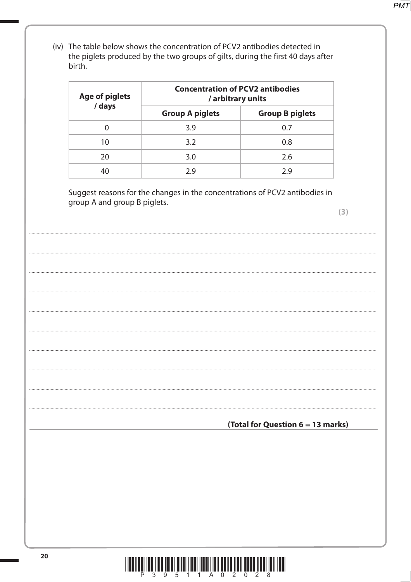(iv) The table below shows the concentration of PCV2 antibodies detected in the piglets produced by the two groups of gilts, during the first 40 days after birth.

| <b>Age of piglets</b> | <b>Concentration of PCV2 antibodies</b><br>/ arbitrary units |                        |
|-----------------------|--------------------------------------------------------------|------------------------|
| / days                | <b>Group A piglets</b>                                       | <b>Group B piglets</b> |
| 0                     | 3.9                                                          | 0.7                    |
| 10                    | 3.2                                                          | 0.8                    |
| 20                    | 3.0                                                          | 2.6                    |
| 40                    | າ ໑                                                          | 2 g                    |

Suggest reasons for the changes in the concentrations of PCV2 antibodies in group A and group B piglets.

 $(3)$ 

(Total for Question 6 = 13 marks)

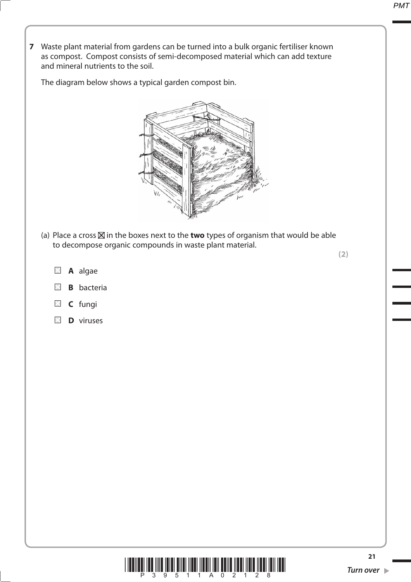**7** Waste plant material from gardens can be turned into a bulk organic fertiliser known as compost. Compost consists of semi-decomposed material which can add texture and mineral nutrients to the soil.

The diagram below shows a typical garden compost bin.



- (a) Place a cross  $\boxtimes$  in the boxes next to the **two** types of organism that would be able to decompose organic compounds in waste plant material.
	- **A** algae
	- **B** bacteria
	- **C** fungi
	- **D** viruses



**(2)**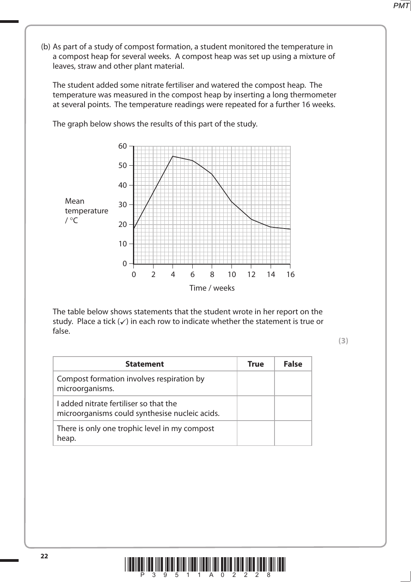(b) As part of a study of compost formation, a student monitored the temperature in a compost heap for several weeks. A compost heap was set up using a mixture of leaves, straw and other plant material.

 The student added some nitrate fertiliser and watered the compost heap. The temperature was measured in the compost heap by inserting a long thermometer at several points. The temperature readings were repeated for a further 16 weeks.



The graph below shows the results of this part of the study.

 The table below shows statements that the student wrote in her report on the study. Place a tick  $(\checkmark)$  in each row to indicate whether the statement is true or false.

**(3)**

| <b>Statement</b>                                                                         | True | <b>False</b> |
|------------------------------------------------------------------------------------------|------|--------------|
| Compost formation involves respiration by<br>microorganisms.                             |      |              |
| I added nitrate fertiliser so that the<br>microorganisms could synthesise nucleic acids. |      |              |
| There is only one trophic level in my compost<br>heap.                                   |      |              |

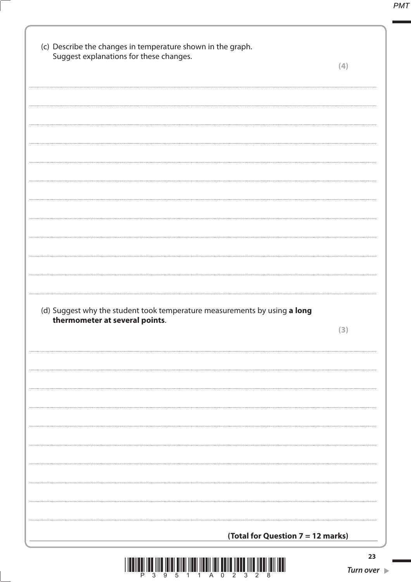| (c) Describe the changes in temperature shown in the graph.<br>Suggest explanations for these changes. | (4) |
|--------------------------------------------------------------------------------------------------------|-----|
|                                                                                                        |     |
|                                                                                                        |     |
|                                                                                                        |     |
|                                                                                                        |     |
|                                                                                                        |     |
|                                                                                                        |     |
|                                                                                                        |     |
| (d) Suggest why the student took temperature measurements by using a long                              |     |
| thermometer at several points.                                                                         |     |
|                                                                                                        | (3) |
|                                                                                                        |     |
|                                                                                                        |     |
|                                                                                                        |     |
|                                                                                                        |     |
|                                                                                                        |     |
|                                                                                                        |     |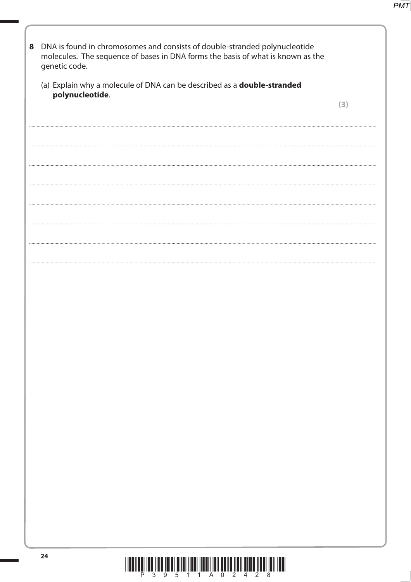| 8 DNA is found in chromosomes and consists of double-stranded polynucleotide<br>molecules. The sequence of bases in DNA forms the basis of what is known as the<br>genetic code. |     |
|----------------------------------------------------------------------------------------------------------------------------------------------------------------------------------|-----|
| (a) Explain why a molecule of DNA can be described as a <b>double-stranded</b><br>polynucleotide.                                                                                |     |
|                                                                                                                                                                                  | (3) |
|                                                                                                                                                                                  |     |
|                                                                                                                                                                                  |     |
|                                                                                                                                                                                  |     |
|                                                                                                                                                                                  |     |
|                                                                                                                                                                                  |     |
|                                                                                                                                                                                  |     |
|                                                                                                                                                                                  |     |
|                                                                                                                                                                                  |     |
|                                                                                                                                                                                  |     |
|                                                                                                                                                                                  |     |
|                                                                                                                                                                                  |     |
|                                                                                                                                                                                  |     |
|                                                                                                                                                                                  |     |
|                                                                                                                                                                                  |     |
|                                                                                                                                                                                  |     |
|                                                                                                                                                                                  |     |
|                                                                                                                                                                                  |     |
|                                                                                                                                                                                  |     |
|                                                                                                                                                                                  |     |
|                                                                                                                                                                                  |     |
| 24<br><u> I I BEITERT TER TITTE TETET BITET TIBET ITBETI TETT BEITE TIBIT BIBTE TIBET TETT TERT</u>                                                                              |     |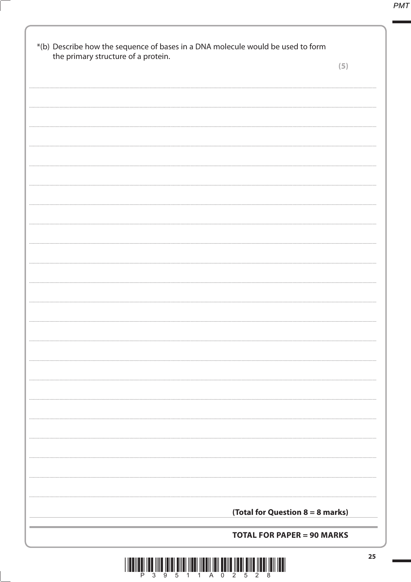| *(b) Describe how the sequence of bases in a DNA molecule would be used to form<br>the primary structure of a protein. |                                   |  |
|------------------------------------------------------------------------------------------------------------------------|-----------------------------------|--|
|                                                                                                                        | (5)                               |  |
|                                                                                                                        |                                   |  |
|                                                                                                                        |                                   |  |
|                                                                                                                        |                                   |  |
|                                                                                                                        |                                   |  |
|                                                                                                                        |                                   |  |
|                                                                                                                        |                                   |  |
|                                                                                                                        |                                   |  |
|                                                                                                                        |                                   |  |
|                                                                                                                        |                                   |  |
|                                                                                                                        |                                   |  |
|                                                                                                                        |                                   |  |
|                                                                                                                        |                                   |  |
|                                                                                                                        |                                   |  |
|                                                                                                                        |                                   |  |
|                                                                                                                        |                                   |  |
|                                                                                                                        |                                   |  |
|                                                                                                                        |                                   |  |
|                                                                                                                        |                                   |  |
|                                                                                                                        |                                   |  |
|                                                                                                                        |                                   |  |
|                                                                                                                        |                                   |  |
|                                                                                                                        |                                   |  |
|                                                                                                                        |                                   |  |
|                                                                                                                        |                                   |  |
|                                                                                                                        | (Total for Question 8 = 8 marks)  |  |
|                                                                                                                        | <b>TOTAL FOR PAPER = 90 MARKS</b> |  |
|                                                                                                                        |                                   |  |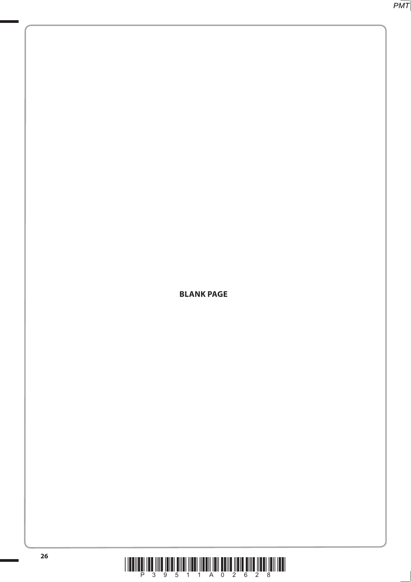#### **BLANK PAGE**

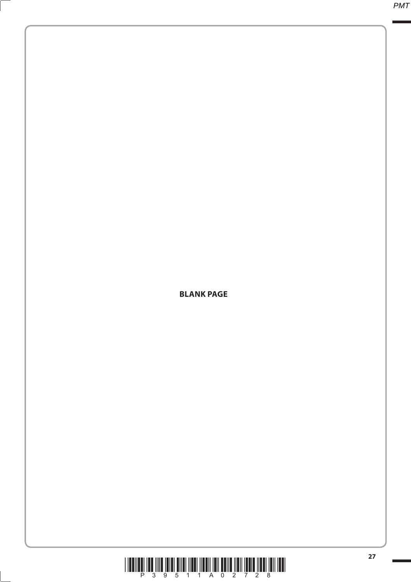